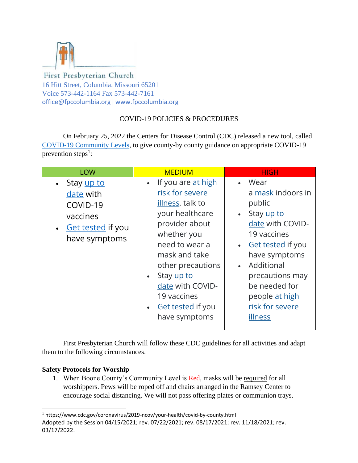

## First Presbyterian Church 16 Hitt Street, Columbia, Missouri 65201 Voice 573-442-1164 Fax 573-442-7161 office@fpccolumbia.org | www.fpccolumbia.org

# COVID-19 POLICIES & PROCEDURES

On February 25, 2022 the Centers for Disease Control (CDC) released a new tool, called [COVID-19 Community Levels,](https://www.cdc.gov/coronavirus/2019-ncov/your-health/covid-by-county.html) to give county-by county guidance on appropriate COVID-19 prevention steps<sup>1</sup>:

| <b>LOW</b>                                                                                                  | <b>MEDIUM</b>                                                                                                                                                                                                                                                    | <b>HIGH</b>                                                                                                                                                                                                                                                     |
|-------------------------------------------------------------------------------------------------------------|------------------------------------------------------------------------------------------------------------------------------------------------------------------------------------------------------------------------------------------------------------------|-----------------------------------------------------------------------------------------------------------------------------------------------------------------------------------------------------------------------------------------------------------------|
| • Stay up to<br>date with<br>COVID-19<br>vaccines<br><b>Get tested if you</b><br>$\bullet$<br>have symptoms | If you are at high<br>risk for severe<br>illness, talk to<br>your healthcare<br>provider about<br>whether you<br>need to wear a<br>mask and take<br>other precautions<br>• Stay up to<br>date with COVID-<br>19 vaccines<br>• Get tested if you<br>have symptoms | • Wear<br>a mask indoors in<br>public<br>Stay up to<br>$\bullet$<br>date with COVID-<br>19 vaccines<br><b>Get tested if you</b><br>$\bullet$<br>have symptoms<br>Additional<br>precautions may<br>be needed for<br>people at high<br>risk for severe<br>illness |

First Presbyterian Church will follow these CDC guidelines for all activities and adapt them to the following circumstances.

## **Safety Protocols for Worship**

1. When Boone County's Community Level is Red, masks will be required for all worshippers. Pews will be roped off and chairs arranged in the Ramsey Center to encourage social distancing. We will not pass offering plates or communion trays.

Adopted by the Session 04/15/2021; rev. 07/22/2021; rev. 08/17/2021; rev. 11/18/2021; rev. 03/17/2022. <sup>1</sup> https://www.cdc.gov/coronavirus/2019-ncov/your-health/covid-by-county.html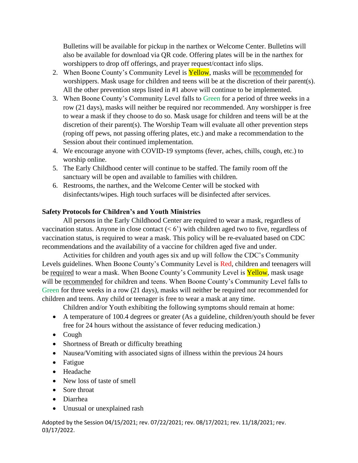Bulletins will be available for pickup in the narthex or Welcome Center. Bulletins will also be available for download via QR code. Offering plates will be in the narthex for worshippers to drop off offerings, and prayer request/contact info slips.

- 2. When Boone County's Community Level is Yellow, masks will be recommended for worshippers. Mask usage for children and teens will be at the discretion of their parent(s). All the other prevention steps listed in #1 above will continue to be implemented.
- 3. When Boone County's Community Level falls to Green for a period of three weeks in a row (21 days), masks will neither be required nor recommended. Any worshipper is free to wear a mask if they choose to do so. Mask usage for children and teens will be at the discretion of their parent(s). The Worship Team will evaluate all other prevention steps (roping off pews, not passing offering plates, etc.) and make a recommendation to the Session about their continued implementation.
- 4. We encourage anyone with COVID-19 symptoms (fever, aches, chills, cough, etc.) to worship online.
- 5. The Early Childhood center will continue to be staffed. The family room off the sanctuary will be open and available to families with children.
- 6. Restrooms, the narthex, and the Welcome Center will be stocked with disinfectants/wipes. High touch surfaces will be disinfected after services.

### **Safety Protocols for Children's and Youth Ministries**

All persons in the Early Childhood Center are required to wear a mask, regardless of vaccination status. Anyone in close contact  $(6)$  with children aged two to five, regardless of vaccination status, is required to wear a mask. This policy will be re-evaluated based on CDC recommendations and the availability of a vaccine for children aged five and under.

Activities for children and youth ages six and up will follow the CDC's Community Levels guidelines. When Boone County's Community Level is Red, children and teenagers will be required to wear a mask. When Boone County's Community Level is **Yellow**, mask usage will be recommended for children and teens. When Boone County's Community Level falls to Green for three weeks in a row (21 days), masks will neither be required nor recommended for children and teens. Any child or teenager is free to wear a mask at any time.

Children and/or Youth exhibiting the following symptoms should remain at home:

- A temperature of 100.4 degrees or greater (As a guideline, children/youth should be fever free for 24 hours without the assistance of fever reducing medication.)
- Cough
- Shortness of Breath or difficulty breathing
- Nausea/Vomiting with associated signs of illness within the previous 24 hours
- Fatigue
- Headache
- New loss of taste of smell
- Sore throat
- Diarrhea
- Unusual or unexplained rash

Adopted by the Session 04/15/2021; rev. 07/22/2021; rev. 08/17/2021; rev. 11/18/2021; rev. 03/17/2022.